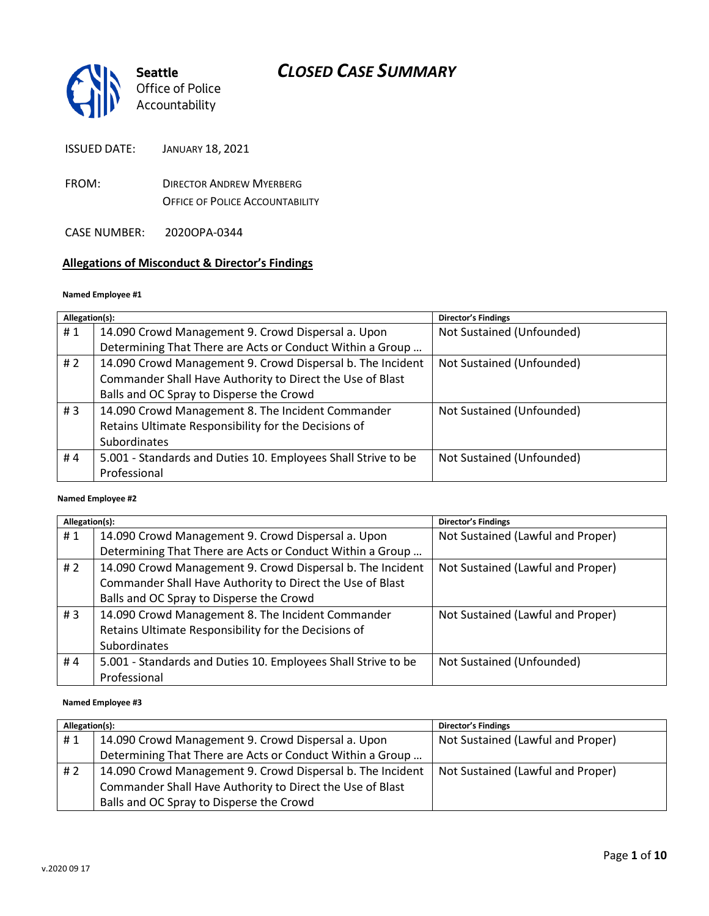

*Office of Police Accountability*

ISSUED DATE: JANUARY 18, 2021

FROM: DIRECTOR ANDREW MYERBERG OFFICE OF POLICE ACCOUNTABILITY

CASE NUMBER: 2020OPA-0344

## **Allegations of Misconduct & Director's Findings**

#### **Named Employee #1**

| Allegation(s): |                                                               | <b>Director's Findings</b> |
|----------------|---------------------------------------------------------------|----------------------------|
| #1             | 14.090 Crowd Management 9. Crowd Dispersal a. Upon            | Not Sustained (Unfounded)  |
|                | Determining That There are Acts or Conduct Within a Group     |                            |
| #2             | 14.090 Crowd Management 9. Crowd Dispersal b. The Incident    | Not Sustained (Unfounded)  |
|                | Commander Shall Have Authority to Direct the Use of Blast     |                            |
|                | Balls and OC Spray to Disperse the Crowd                      |                            |
| #3             | 14.090 Crowd Management 8. The Incident Commander             | Not Sustained (Unfounded)  |
|                | Retains Ultimate Responsibility for the Decisions of          |                            |
|                | Subordinates                                                  |                            |
| #4             | 5.001 - Standards and Duties 10. Employees Shall Strive to be | Not Sustained (Unfounded)  |
|                | Professional                                                  |                            |

#### ؚ<br>ا **Named Employee #2**

| Allegation(s): |                                                               | <b>Director's Findings</b>        |
|----------------|---------------------------------------------------------------|-----------------------------------|
| #1             | 14.090 Crowd Management 9. Crowd Dispersal a. Upon            | Not Sustained (Lawful and Proper) |
|                | Determining That There are Acts or Conduct Within a Group     |                                   |
| # $2$          | 14.090 Crowd Management 9. Crowd Dispersal b. The Incident    | Not Sustained (Lawful and Proper) |
|                | Commander Shall Have Authority to Direct the Use of Blast     |                                   |
|                | Balls and OC Spray to Disperse the Crowd                      |                                   |
| #3             | 14.090 Crowd Management 8. The Incident Commander             | Not Sustained (Lawful and Proper) |
|                | Retains Ultimate Responsibility for the Decisions of          |                                   |
|                | Subordinates                                                  |                                   |
| #4             | 5.001 - Standards and Duties 10. Employees Shall Strive to be | Not Sustained (Unfounded)         |
|                | Professional                                                  |                                   |

#### **Named Employee #3**

| Allegation(s): |                                                            | <b>Director's Findings</b>        |
|----------------|------------------------------------------------------------|-----------------------------------|
| #1             | 14.090 Crowd Management 9. Crowd Dispersal a. Upon         | Not Sustained (Lawful and Proper) |
|                | Determining That There are Acts or Conduct Within a Group  |                                   |
| #2             | 14.090 Crowd Management 9. Crowd Dispersal b. The Incident | Not Sustained (Lawful and Proper) |
|                | Commander Shall Have Authority to Direct the Use of Blast  |                                   |
|                | Balls and OC Spray to Disperse the Crowd                   |                                   |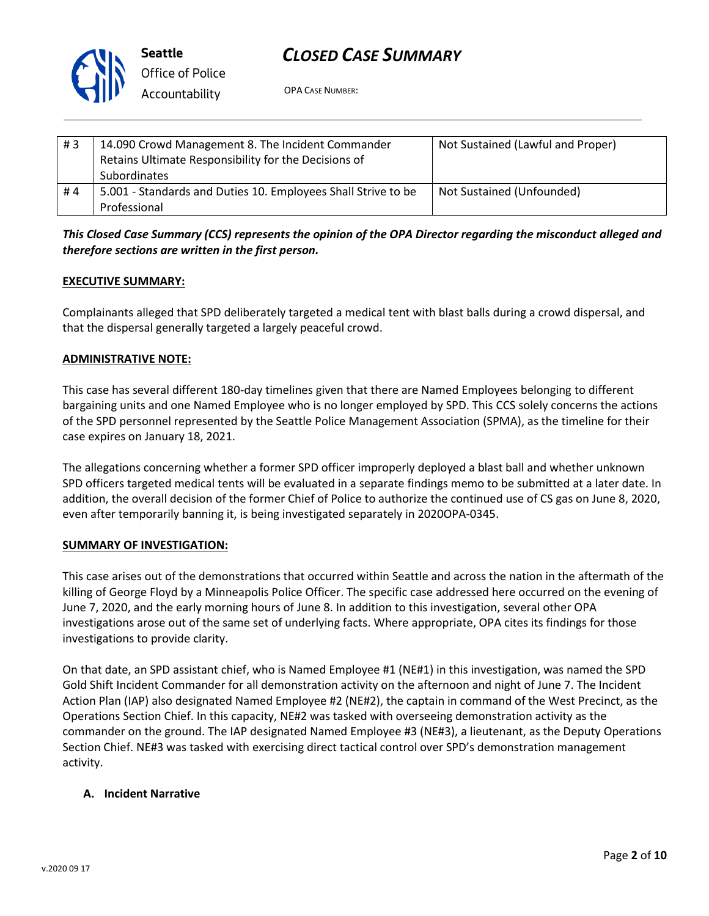

**Seattle** *Office of Police Accountability*

OPA CASE NUMBER:

| #3 | 14.090 Crowd Management 8. The Incident Commander<br>Retains Ultimate Responsibility for the Decisions of<br><b>Subordinates</b> | Not Sustained (Lawful and Proper) |
|----|----------------------------------------------------------------------------------------------------------------------------------|-----------------------------------|
| #4 | 5.001 - Standards and Duties 10. Employees Shall Strive to be<br>Professional                                                    | Not Sustained (Unfounded)         |

*This Closed Case Summary (CCS) represents the opinion of the OPA Director regarding the misconduct alleged and therefore sections are written in the first person.* 

### **EXECUTIVE SUMMARY:**

Complainants alleged that SPD deliberately targeted a medical tent with blast balls during a crowd dispersal, and that the dispersal generally targeted a largely peaceful crowd.

#### **ADMINISTRATIVE NOTE:**

This case has several different 180-day timelines given that there are Named Employees belonging to different bargaining units and one Named Employee who is no longer employed by SPD. This CCS solely concerns the actions of the SPD personnel represented by the Seattle Police Management Association (SPMA), as the timeline for their case expires on January 18, 2021.

The allegations concerning whether a former SPD officer improperly deployed a blast ball and whether unknown SPD officers targeted medical tents will be evaluated in a separate findings memo to be submitted at a later date. In addition, the overall decision of the former Chief of Police to authorize the continued use of CS gas on June 8, 2020, even after temporarily banning it, is being investigated separately in 2020OPA-0345.

#### **SUMMARY OF INVESTIGATION:**

This case arises out of the demonstrations that occurred within Seattle and across the nation in the aftermath of the killing of George Floyd by a Minneapolis Police Officer. The specific case addressed here occurred on the evening of June 7, 2020, and the early morning hours of June 8. In addition to this investigation, several other OPA investigations arose out of the same set of underlying facts. Where appropriate, OPA cites its findings for those investigations to provide clarity.

On that date, an SPD assistant chief, who is Named Employee #1 (NE#1) in this investigation, was named the SPD Gold Shift Incident Commander for all demonstration activity on the afternoon and night of June 7. The Incident Action Plan (IAP) also designated Named Employee #2 (NE#2), the captain in command of the West Precinct, as the Operations Section Chief. In this capacity, NE#2 was tasked with overseeing demonstration activity as the commander on the ground. The IAP designated Named Employee #3 (NE#3), a lieutenant, as the Deputy Operations Section Chief. NE#3 was tasked with exercising direct tactical control over SPD's demonstration management activity.

#### **A. Incident Narrative**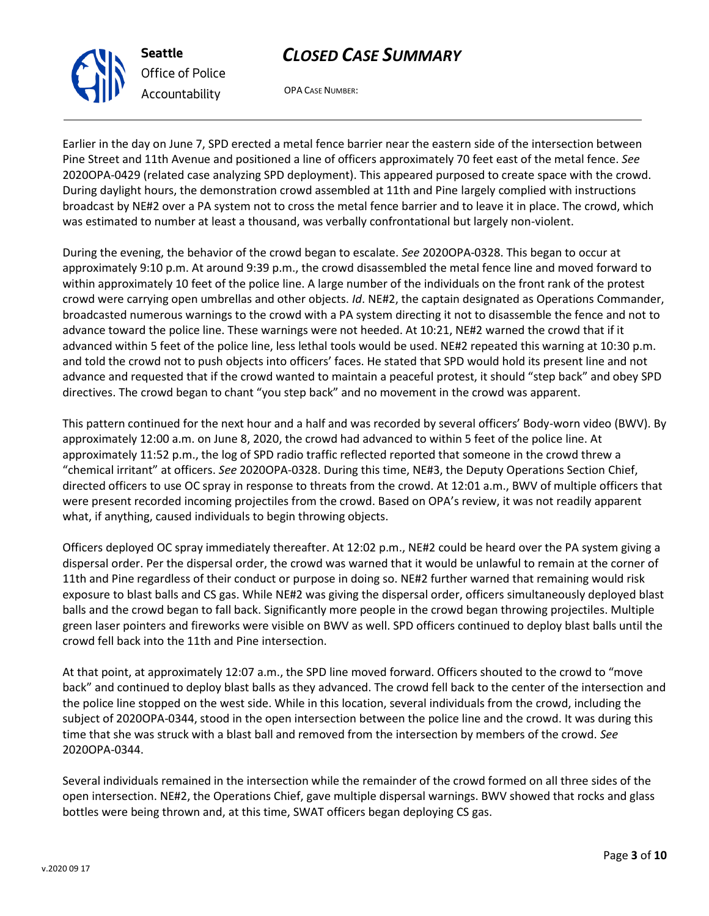OPA CASE NUMBER:

Earlier in the day on June 7, SPD erected a metal fence barrier near the eastern side of the intersection between Pine Street and 11th Avenue and positioned a line of officers approximately 70 feet east of the metal fence. *See* 2020OPA-0429 (related case analyzing SPD deployment). This appeared purposed to create space with the crowd. During daylight hours, the demonstration crowd assembled at 11th and Pine largely complied with instructions broadcast by NE#2 over a PA system not to cross the metal fence barrier and to leave it in place. The crowd, which was estimated to number at least a thousand, was verbally confrontational but largely non-violent.

During the evening, the behavior of the crowd began to escalate. *See* 2020OPA-0328. This began to occur at approximately 9:10 p.m. At around 9:39 p.m., the crowd disassembled the metal fence line and moved forward to within approximately 10 feet of the police line. A large number of the individuals on the front rank of the protest crowd were carrying open umbrellas and other objects. *Id*. NE#2, the captain designated as Operations Commander, broadcasted numerous warnings to the crowd with a PA system directing it not to disassemble the fence and not to advance toward the police line. These warnings were not heeded. At 10:21, NE#2 warned the crowd that if it advanced within 5 feet of the police line, less lethal tools would be used. NE#2 repeated this warning at 10:30 p.m. and told the crowd not to push objects into officers' faces. He stated that SPD would hold its present line and not advance and requested that if the crowd wanted to maintain a peaceful protest, it should "step back" and obey SPD directives. The crowd began to chant "you step back" and no movement in the crowd was apparent.

This pattern continued for the next hour and a half and was recorded by several officers' Body-worn video (BWV). By approximately 12:00 a.m. on June 8, 2020, the crowd had advanced to within 5 feet of the police line. At approximately 11:52 p.m., the log of SPD radio traffic reflected reported that someone in the crowd threw a "chemical irritant" at officers. *See* 2020OPA-0328. During this time, NE#3, the Deputy Operations Section Chief, directed officers to use OC spray in response to threats from the crowd. At 12:01 a.m., BWV of multiple officers that were present recorded incoming projectiles from the crowd. Based on OPA's review, it was not readily apparent what, if anything, caused individuals to begin throwing objects.

Officers deployed OC spray immediately thereafter. At 12:02 p.m., NE#2 could be heard over the PA system giving a dispersal order. Per the dispersal order, the crowd was warned that it would be unlawful to remain at the corner of 11th and Pine regardless of their conduct or purpose in doing so. NE#2 further warned that remaining would risk exposure to blast balls and CS gas. While NE#2 was giving the dispersal order, officers simultaneously deployed blast balls and the crowd began to fall back. Significantly more people in the crowd began throwing projectiles. Multiple green laser pointers and fireworks were visible on BWV as well. SPD officers continued to deploy blast balls until the crowd fell back into the 11th and Pine intersection.

At that point, at approximately 12:07 a.m., the SPD line moved forward. Officers shouted to the crowd to "move back" and continued to deploy blast balls as they advanced. The crowd fell back to the center of the intersection and the police line stopped on the west side. While in this location, several individuals from the crowd, including the subject of 2020OPA-0344, stood in the open intersection between the police line and the crowd. It was during this time that she was struck with a blast ball and removed from the intersection by members of the crowd. *See* 2020OPA-0344.

Several individuals remained in the intersection while the remainder of the crowd formed on all three sides of the open intersection. NE#2, the Operations Chief, gave multiple dispersal warnings. BWV showed that rocks and glass bottles were being thrown and, at this time, SWAT officers began deploying CS gas.



**Seattle**

*Office of Police Accountability*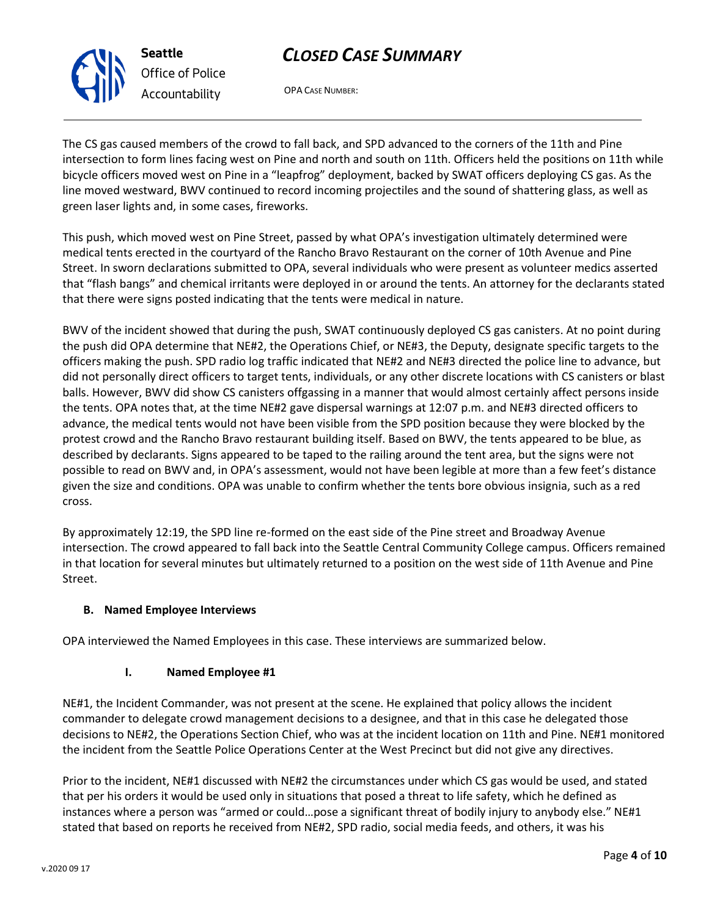

*Office of Police Accountability*

OPA CASE NUMBER:

The CS gas caused members of the crowd to fall back, and SPD advanced to the corners of the 11th and Pine intersection to form lines facing west on Pine and north and south on 11th. Officers held the positions on 11th while bicycle officers moved west on Pine in a "leapfrog" deployment, backed by SWAT officers deploying CS gas. As the line moved westward, BWV continued to record incoming projectiles and the sound of shattering glass, as well as green laser lights and, in some cases, fireworks.

This push, which moved west on Pine Street, passed by what OPA's investigation ultimately determined were medical tents erected in the courtyard of the Rancho Bravo Restaurant on the corner of 10th Avenue and Pine Street. In sworn declarations submitted to OPA, several individuals who were present as volunteer medics asserted that "flash bangs" and chemical irritants were deployed in or around the tents. An attorney for the declarants stated that there were signs posted indicating that the tents were medical in nature.

BWV of the incident showed that during the push, SWAT continuously deployed CS gas canisters. At no point during the push did OPA determine that NE#2, the Operations Chief, or NE#3, the Deputy, designate specific targets to the officers making the push. SPD radio log traffic indicated that NE#2 and NE#3 directed the police line to advance, but did not personally direct officers to target tents, individuals, or any other discrete locations with CS canisters or blast balls. However, BWV did show CS canisters offgassing in a manner that would almost certainly affect persons inside the tents. OPA notes that, at the time NE#2 gave dispersal warnings at 12:07 p.m. and NE#3 directed officers to advance, the medical tents would not have been visible from the SPD position because they were blocked by the protest crowd and the Rancho Bravo restaurant building itself. Based on BWV, the tents appeared to be blue, as described by declarants. Signs appeared to be taped to the railing around the tent area, but the signs were not possible to read on BWV and, in OPA's assessment, would not have been legible at more than a few feet's distance given the size and conditions. OPA was unable to confirm whether the tents bore obvious insignia, such as a red cross.

By approximately 12:19, the SPD line re-formed on the east side of the Pine street and Broadway Avenue intersection. The crowd appeared to fall back into the Seattle Central Community College campus. Officers remained in that location for several minutes but ultimately returned to a position on the west side of 11th Avenue and Pine Street.

## **B. Named Employee Interviews**

OPA interviewed the Named Employees in this case. These interviews are summarized below.

## **I. Named Employee #1**

NE#1, the Incident Commander, was not present at the scene. He explained that policy allows the incident commander to delegate crowd management decisions to a designee, and that in this case he delegated those decisions to NE#2, the Operations Section Chief, who was at the incident location on 11th and Pine. NE#1 monitored the incident from the Seattle Police Operations Center at the West Precinct but did not give any directives.

Prior to the incident, NE#1 discussed with NE#2 the circumstances under which CS gas would be used, and stated that per his orders it would be used only in situations that posed a threat to life safety, which he defined as instances where a person was "armed or could…pose a significant threat of bodily injury to anybody else." NE#1 stated that based on reports he received from NE#2, SPD radio, social media feeds, and others, it was his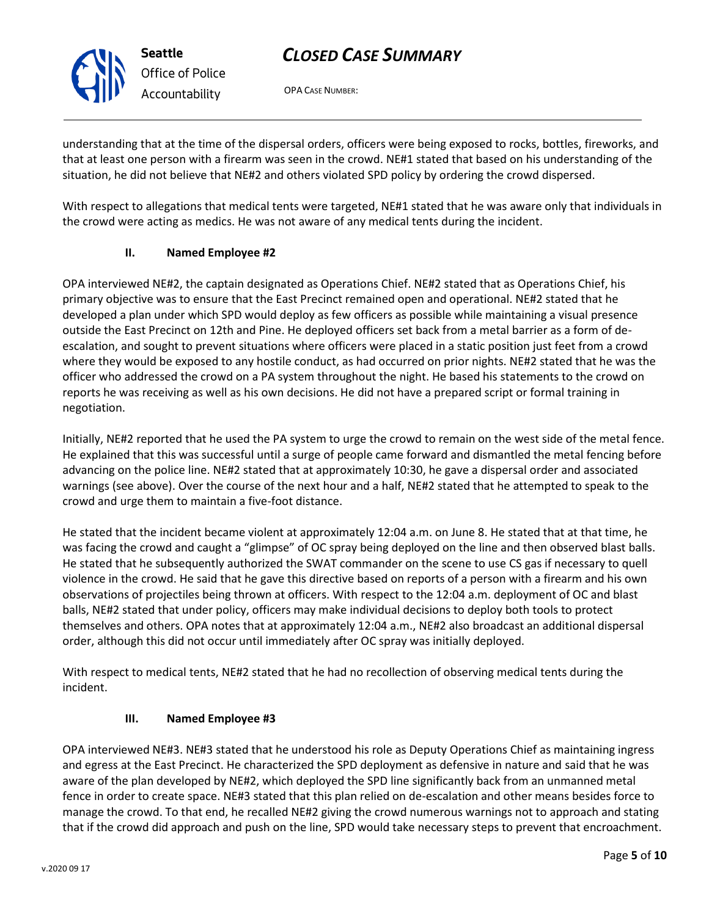OPA CASE NUMBER:

understanding that at the time of the dispersal orders, officers were being exposed to rocks, bottles, fireworks, and that at least one person with a firearm was seen in the crowd. NE#1 stated that based on his understanding of the situation, he did not believe that NE#2 and others violated SPD policy by ordering the crowd dispersed.

With respect to allegations that medical tents were targeted, NE#1 stated that he was aware only that individuals in the crowd were acting as medics. He was not aware of any medical tents during the incident.

## **II. Named Employee #2**

OPA interviewed NE#2, the captain designated as Operations Chief. NE#2 stated that as Operations Chief, his primary objective was to ensure that the East Precinct remained open and operational. NE#2 stated that he developed a plan under which SPD would deploy as few officers as possible while maintaining a visual presence outside the East Precinct on 12th and Pine. He deployed officers set back from a metal barrier as a form of deescalation, and sought to prevent situations where officers were placed in a static position just feet from a crowd where they would be exposed to any hostile conduct, as had occurred on prior nights. NE#2 stated that he was the officer who addressed the crowd on a PA system throughout the night. He based his statements to the crowd on reports he was receiving as well as his own decisions. He did not have a prepared script or formal training in negotiation.

Initially, NE#2 reported that he used the PA system to urge the crowd to remain on the west side of the metal fence. He explained that this was successful until a surge of people came forward and dismantled the metal fencing before advancing on the police line. NE#2 stated that at approximately 10:30, he gave a dispersal order and associated warnings (see above). Over the course of the next hour and a half, NE#2 stated that he attempted to speak to the crowd and urge them to maintain a five-foot distance.

He stated that the incident became violent at approximately 12:04 a.m. on June 8. He stated that at that time, he was facing the crowd and caught a "glimpse" of OC spray being deployed on the line and then observed blast balls. He stated that he subsequently authorized the SWAT commander on the scene to use CS gas if necessary to quell violence in the crowd. He said that he gave this directive based on reports of a person with a firearm and his own observations of projectiles being thrown at officers. With respect to the 12:04 a.m. deployment of OC and blast balls, NE#2 stated that under policy, officers may make individual decisions to deploy both tools to protect themselves and others. OPA notes that at approximately 12:04 a.m., NE#2 also broadcast an additional dispersal order, although this did not occur until immediately after OC spray was initially deployed.

With respect to medical tents, NE#2 stated that he had no recollection of observing medical tents during the incident.

## **III. Named Employee #3**

OPA interviewed NE#3. NE#3 stated that he understood his role as Deputy Operations Chief as maintaining ingress and egress at the East Precinct. He characterized the SPD deployment as defensive in nature and said that he was aware of the plan developed by NE#2, which deployed the SPD line significantly back from an unmanned metal fence in order to create space. NE#3 stated that this plan relied on de-escalation and other means besides force to manage the crowd. To that end, he recalled NE#2 giving the crowd numerous warnings not to approach and stating that if the crowd did approach and push on the line, SPD would take necessary steps to prevent that encroachment.



**Seattle**

*Office of Police Accountability*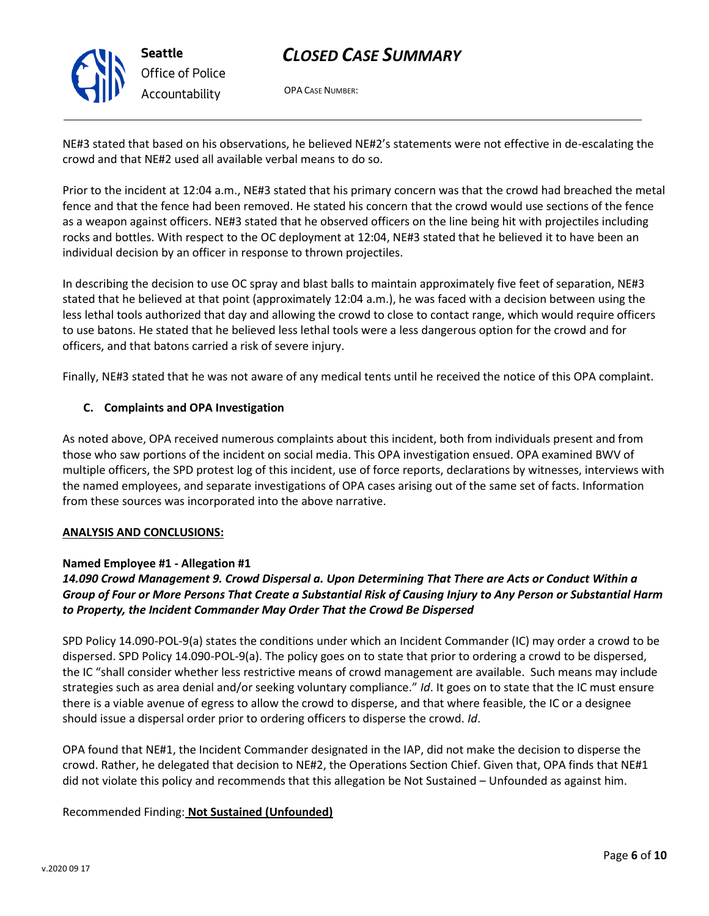

**Seattle** *Office of Police Accountability*

# *CLOSED CASE SUMMARY*

OPA CASE NUMBER:

NE#3 stated that based on his observations, he believed NE#2's statements were not effective in de-escalating the crowd and that NE#2 used all available verbal means to do so.

Prior to the incident at 12:04 a.m., NE#3 stated that his primary concern was that the crowd had breached the metal fence and that the fence had been removed. He stated his concern that the crowd would use sections of the fence as a weapon against officers. NE#3 stated that he observed officers on the line being hit with projectiles including rocks and bottles. With respect to the OC deployment at 12:04, NE#3 stated that he believed it to have been an individual decision by an officer in response to thrown projectiles.

In describing the decision to use OC spray and blast balls to maintain approximately five feet of separation, NE#3 stated that he believed at that point (approximately 12:04 a.m.), he was faced with a decision between using the less lethal tools authorized that day and allowing the crowd to close to contact range, which would require officers to use batons. He stated that he believed less lethal tools were a less dangerous option for the crowd and for officers, and that batons carried a risk of severe injury.

Finally, NE#3 stated that he was not aware of any medical tents until he received the notice of this OPA complaint.

### **C. Complaints and OPA Investigation**

As noted above, OPA received numerous complaints about this incident, both from individuals present and from those who saw portions of the incident on social media. This OPA investigation ensued. OPA examined BWV of multiple officers, the SPD protest log of this incident, use of force reports, declarations by witnesses, interviews with the named employees, and separate investigations of OPA cases arising out of the same set of facts. Information from these sources was incorporated into the above narrative.

#### **ANALYSIS AND CONCLUSIONS:**

#### **Named Employee #1 - Allegation #1**

## *14.090 Crowd Management 9. Crowd Dispersal a. Upon Determining That There are Acts or Conduct Within a Group of Four or More Persons That Create a Substantial Risk of Causing Injury to Any Person or Substantial Harm to Property, the Incident Commander May Order That the Crowd Be Dispersed*

SPD Policy 14.090-POL-9(a) states the conditions under which an Incident Commander (IC) may order a crowd to be dispersed. SPD Policy 14.090-POL-9(a). The policy goes on to state that prior to ordering a crowd to be dispersed, the IC "shall consider whether less restrictive means of crowd management are available. Such means may include strategies such as area denial and/or seeking voluntary compliance." *Id*. It goes on to state that the IC must ensure there is a viable avenue of egress to allow the crowd to disperse, and that where feasible, the IC or a designee should issue a dispersal order prior to ordering officers to disperse the crowd. *Id*.

OPA found that NE#1, the Incident Commander designated in the IAP, did not make the decision to disperse the crowd. Rather, he delegated that decision to NE#2, the Operations Section Chief. Given that, OPA finds that NE#1 did not violate this policy and recommends that this allegation be Not Sustained – Unfounded as against him.

## Recommended Finding: **Not Sustained (Unfounded)**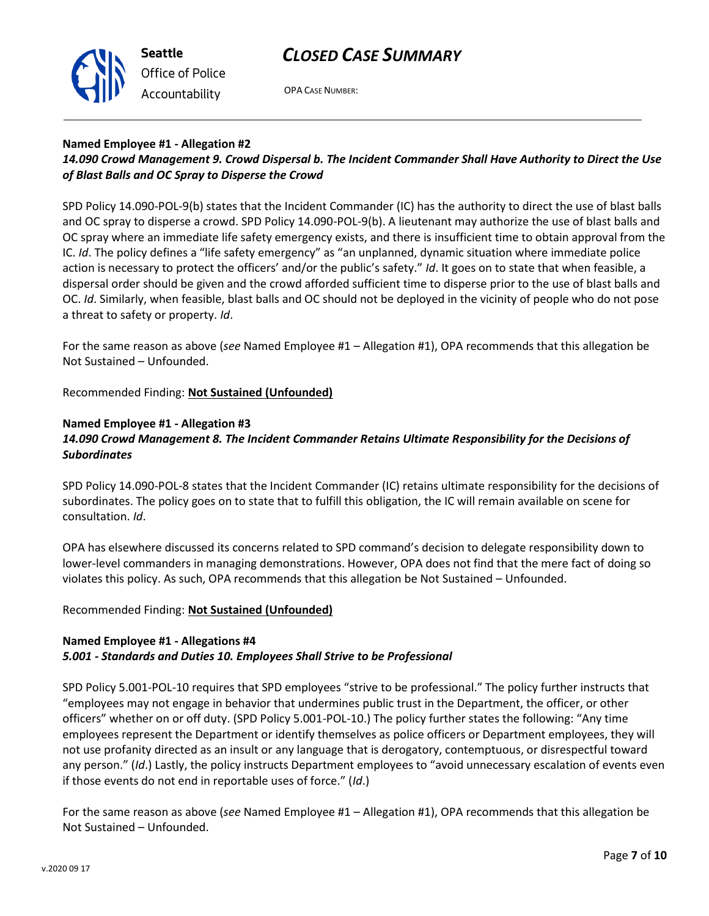



OPA CASE NUMBER:

## **Named Employee #1 - Allegation #2**

## *14.090 Crowd Management 9. Crowd Dispersal b. The Incident Commander Shall Have Authority to Direct the Use of Blast Balls and OC Spray to Disperse the Crowd*

SPD Policy 14.090-POL-9(b) states that the Incident Commander (IC) has the authority to direct the use of blast balls and OC spray to disperse a crowd. SPD Policy 14.090-POL-9(b). A lieutenant may authorize the use of blast balls and OC spray where an immediate life safety emergency exists, and there is insufficient time to obtain approval from the IC. *Id*. The policy defines a "life safety emergency" as "an unplanned, dynamic situation where immediate police action is necessary to protect the officers' and/or the public's safety." *Id*. It goes on to state that when feasible, a dispersal order should be given and the crowd afforded sufficient time to disperse prior to the use of blast balls and OC. *Id*. Similarly, when feasible, blast balls and OC should not be deployed in the vicinity of people who do not pose a threat to safety or property. *Id*.

For the same reason as above (*see* Named Employee #1 – Allegation #1), OPA recommends that this allegation be Not Sustained – Unfounded.

Recommended Finding: **Not Sustained (Unfounded)**

#### **Named Employee #1 - Allegation #3**

## *14.090 Crowd Management 8. The Incident Commander Retains Ultimate Responsibility for the Decisions of Subordinates*

SPD Policy 14.090-POL-8 states that the Incident Commander (IC) retains ultimate responsibility for the decisions of subordinates. The policy goes on to state that to fulfill this obligation, the IC will remain available on scene for consultation. *Id*.

OPA has elsewhere discussed its concerns related to SPD command's decision to delegate responsibility down to lower-level commanders in managing demonstrations. However, OPA does not find that the mere fact of doing so violates this policy. As such, OPA recommends that this allegation be Not Sustained – Unfounded.

#### Recommended Finding: **Not Sustained (Unfounded)**

#### **Named Employee #1 - Allegations #4** *5.001 - Standards and Duties 10. Employees Shall Strive to be Professional*

SPD Policy 5.001-POL-10 requires that SPD employees "strive to be professional." The policy further instructs that "employees may not engage in behavior that undermines public trust in the Department, the officer, or other officers" whether on or off duty. (SPD Policy 5.001-POL-10.) The policy further states the following: "Any time employees represent the Department or identify themselves as police officers or Department employees, they will not use profanity directed as an insult or any language that is derogatory, contemptuous, or disrespectful toward any person." (*Id*.) Lastly, the policy instructs Department employees to "avoid unnecessary escalation of events even if those events do not end in reportable uses of force." (*Id*.)

For the same reason as above (*see* Named Employee #1 – Allegation #1), OPA recommends that this allegation be Not Sustained – Unfounded.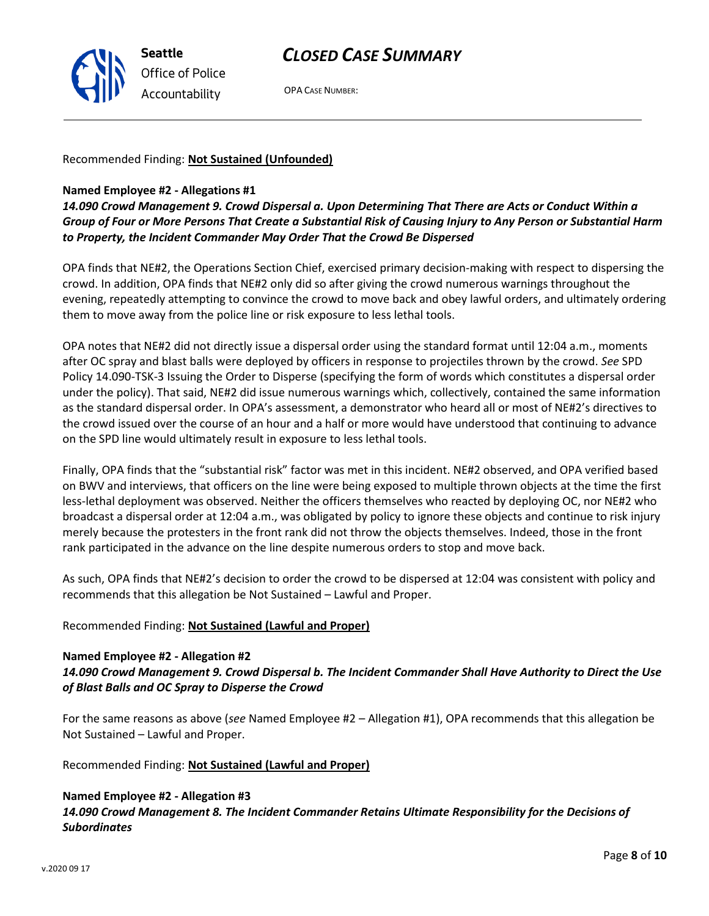

OPA CASE NUMBER:

Recommended Finding: **Not Sustained (Unfounded)**

## **Named Employee #2 - Allegations #1**

*14.090 Crowd Management 9. Crowd Dispersal a. Upon Determining That There are Acts or Conduct Within a Group of Four or More Persons That Create a Substantial Risk of Causing Injury to Any Person or Substantial Harm to Property, the Incident Commander May Order That the Crowd Be Dispersed*

OPA finds that NE#2, the Operations Section Chief, exercised primary decision-making with respect to dispersing the crowd. In addition, OPA finds that NE#2 only did so after giving the crowd numerous warnings throughout the evening, repeatedly attempting to convince the crowd to move back and obey lawful orders, and ultimately ordering them to move away from the police line or risk exposure to less lethal tools.

OPA notes that NE#2 did not directly issue a dispersal order using the standard format until 12:04 a.m., moments after OC spray and blast balls were deployed by officers in response to projectiles thrown by the crowd. *See* SPD Policy 14.090-TSK-3 Issuing the Order to Disperse (specifying the form of words which constitutes a dispersal order under the policy). That said, NE#2 did issue numerous warnings which, collectively, contained the same information as the standard dispersal order. In OPA's assessment, a demonstrator who heard all or most of NE#2's directives to the crowd issued over the course of an hour and a half or more would have understood that continuing to advance on the SPD line would ultimately result in exposure to less lethal tools.

Finally, OPA finds that the "substantial risk" factor was met in this incident. NE#2 observed, and OPA verified based on BWV and interviews, that officers on the line were being exposed to multiple thrown objects at the time the first less-lethal deployment was observed. Neither the officers themselves who reacted by deploying OC, nor NE#2 who broadcast a dispersal order at 12:04 a.m., was obligated by policy to ignore these objects and continue to risk injury merely because the protesters in the front rank did not throw the objects themselves. Indeed, those in the front rank participated in the advance on the line despite numerous orders to stop and move back.

As such, OPA finds that NE#2's decision to order the crowd to be dispersed at 12:04 was consistent with policy and recommends that this allegation be Not Sustained – Lawful and Proper.

## Recommended Finding: **Not Sustained (Lawful and Proper)**

### **Named Employee #2 - Allegation #2** *14.090 Crowd Management 9. Crowd Dispersal b. The Incident Commander Shall Have Authority to Direct the Use of Blast Balls and OC Spray to Disperse the Crowd*

For the same reasons as above (*see* Named Employee #2 – Allegation #1), OPA recommends that this allegation be Not Sustained – Lawful and Proper.

Recommended Finding: **Not Sustained (Lawful and Proper)**

## **Named Employee #2 - Allegation #3** *14.090 Crowd Management 8. The Incident Commander Retains Ultimate Responsibility for the Decisions of Subordinates*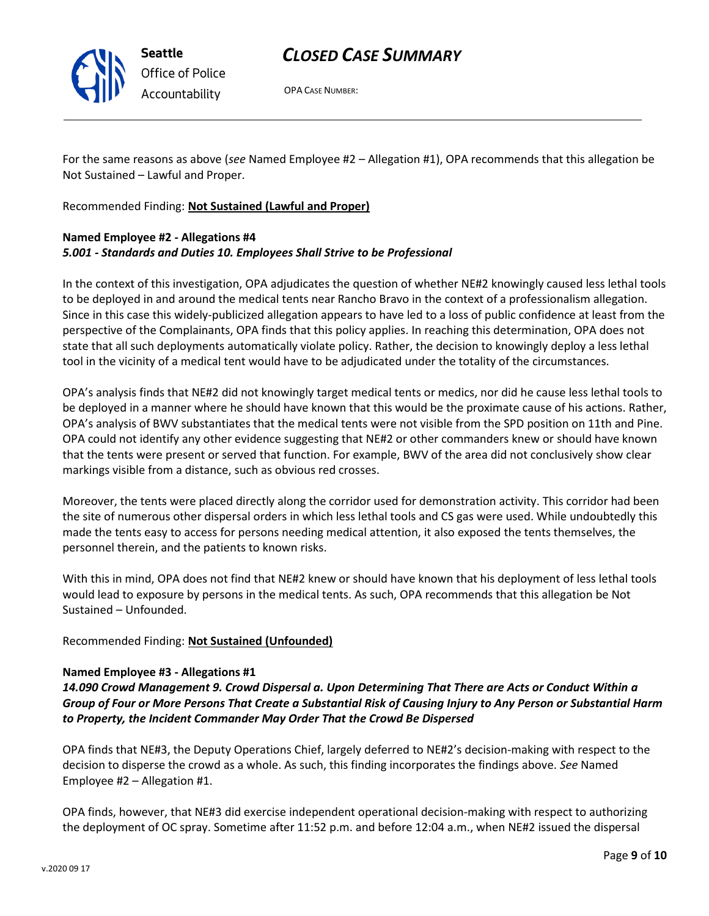

OPA CASE NUMBER:

For the same reasons as above (*see* Named Employee #2 – Allegation #1), OPA recommends that this allegation be Not Sustained – Lawful and Proper.

Recommended Finding: **Not Sustained (Lawful and Proper)**

## **Named Employee #2 - Allegations #4** *5.001 - Standards and Duties 10. Employees Shall Strive to be Professional*

In the context of this investigation, OPA adjudicates the question of whether NE#2 knowingly caused less lethal tools to be deployed in and around the medical tents near Rancho Bravo in the context of a professionalism allegation. Since in this case this widely-publicized allegation appears to have led to a loss of public confidence at least from the perspective of the Complainants, OPA finds that this policy applies. In reaching this determination, OPA does not state that all such deployments automatically violate policy. Rather, the decision to knowingly deploy a less lethal tool in the vicinity of a medical tent would have to be adjudicated under the totality of the circumstances.

OPA's analysis finds that NE#2 did not knowingly target medical tents or medics, nor did he cause less lethal tools to be deployed in a manner where he should have known that this would be the proximate cause of his actions. Rather, OPA's analysis of BWV substantiates that the medical tents were not visible from the SPD position on 11th and Pine. OPA could not identify any other evidence suggesting that NE#2 or other commanders knew or should have known that the tents were present or served that function. For example, BWV of the area did not conclusively show clear markings visible from a distance, such as obvious red crosses.

Moreover, the tents were placed directly along the corridor used for demonstration activity. This corridor had been the site of numerous other dispersal orders in which less lethal tools and CS gas were used. While undoubtedly this made the tents easy to access for persons needing medical attention, it also exposed the tents themselves, the personnel therein, and the patients to known risks.

With this in mind, OPA does not find that NE#2 knew or should have known that his deployment of less lethal tools would lead to exposure by persons in the medical tents. As such, OPA recommends that this allegation be Not Sustained – Unfounded.

## Recommended Finding: **Not Sustained (Unfounded)**

#### **Named Employee #3 - Allegations #1**

*14.090 Crowd Management 9. Crowd Dispersal a. Upon Determining That There are Acts or Conduct Within a Group of Four or More Persons That Create a Substantial Risk of Causing Injury to Any Person or Substantial Harm to Property, the Incident Commander May Order That the Crowd Be Dispersed*

OPA finds that NE#3, the Deputy Operations Chief, largely deferred to NE#2's decision-making with respect to the decision to disperse the crowd as a whole. As such, this finding incorporates the findings above. *See* Named Employee #2 – Allegation #1.

OPA finds, however, that NE#3 did exercise independent operational decision-making with respect to authorizing the deployment of OC spray. Sometime after 11:52 p.m. and before 12:04 a.m., when NE#2 issued the dispersal